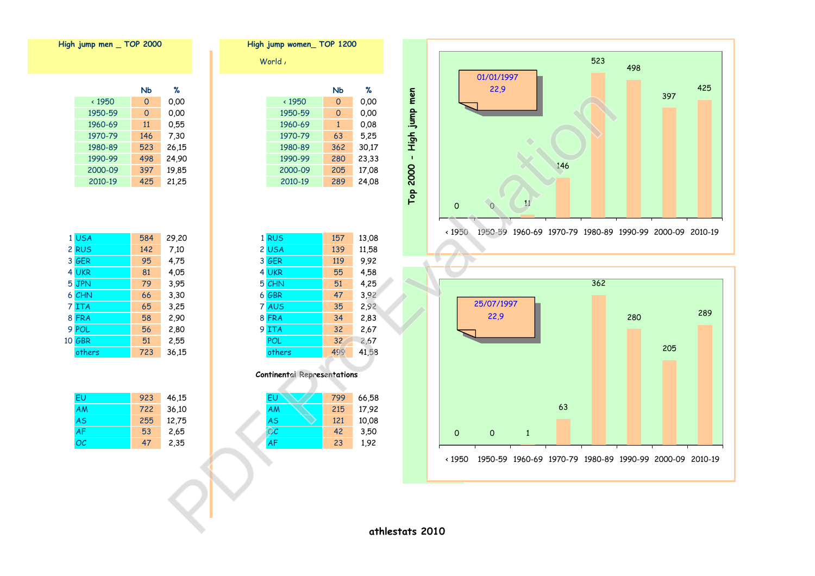



| High jump men _ TOP 2000 |              |           |      | High jump women_TOP 1200 |  |              |           |       |
|--------------------------|--------------|-----------|------|--------------------------|--|--------------|-----------|-------|
|                          |              |           |      |                          |  | World,       |           |       |
|                          |              | <b>Nb</b> | %    |                          |  |              | <b>Nb</b> | %     |
|                          | $\cdot$ 1950 | 0         | 0.00 |                          |  | $\cdot$ 1950 | 0         | 0.00  |
|                          | 1950-59      | 0         | 0.00 |                          |  | 1950-59      | 0         | 0,00  |
|                          | .            | $\sim$    |      |                          |  | .            |           | - - - |

| 1950  | 0            | 0.00  |
|-------|--------------|-------|
| 50-59 | 0            | 0.00  |
| 50-69 | $\mathbf{1}$ | 0.08  |
| 70-79 | 63           | 5,25  |
| 30-89 | 362          | 30,17 |
| 90-99 | 280          | 23,33 |
| )0-09 | 205          | 17,08 |
| 10-19 | 289          | 24,08 |

| 1 USA  | 584 | 29,20 | 1 RUS      | 157             | 13,08 |
|--------|-----|-------|------------|-----------------|-------|
| 2 RUS  | 142 | 7,10  | 2 USA      | 139             | 11,58 |
| 3 GER  | 95  | 4,75  | 3 GER      | 119             | 9,92  |
| 4 UKR  | 81  | 4,05  | 4 UKR      | 55              | 4,58  |
| 5 JPN  | 79  | 3,95  | 5 CHN      | 51              | 4,25  |
| 6 CHN  | 66  | 3,30  | 6 GBR      | 47              | 3,92  |
| 7 ITA  | 65  | 3,25  | 7 AUS      | 35              | 2,92  |
| 8 FRA  | 58  | 2,90  | 8 FRA      | 34              | 2,83  |
| 9 POL  | 56  | 2,80  | 9 ITA      | 32              | 2,67  |
| 10 GBR | 51  | 2,55  | <b>POL</b> | 32 <sub>2</sub> | 2,67  |
| others | 723 | 36,15 | others     | 499             | 41,58 |



| EU | 923 | 46,15 | EU        | 799 | 66,58 |
|----|-----|-------|-----------|-----|-------|
| AM | 722 | 36,10 | AM        | 215 | 17,92 |
| AS | 255 | 12,75 | <b>AS</b> | 121 | 10,08 |
| AF | 53  | 2,65  | OC        | 42  | 3,50  |
| ОC | 47  | 2,35  | AF        | 23  | 1,92  |
|    |     |       |           |     |       |

|              | NЬ       | %     |
|--------------|----------|-------|
| $\cdot$ 1950 | 0        | 0.00  |
| 1950-59      | $\Omega$ | 0.00  |
| 1960-69      | 11       | 0,55  |
| 1970-79      | 146      | 7,30  |
| 1980-89      | 523      | 26,15 |
| 1990-99      | 498      | 24,90 |
| 2000-09      | 397      | 19,85 |
| 2010-19      | 425      | 21,25 |

| 1 USA  | 584 | 29,20 |
|--------|-----|-------|
| 2 RUS  | 142 | 7.10  |
| 3 GER  | 95  | 4,75  |
| 4 UKR  | 81  | 4.05  |
| 5 JPN  | 79  | 3,95  |
| 6 CHN  | 66  | 3,30  |
| 7 ITA  | 65  | 3,25  |
| 8 FRA  | 58  | 2,90  |
| 9 POL  | 56  | 2,80  |
| 10 GBR | 51  | 2,55  |
| others | 723 | 36,15 |

| FU        | 923 | 46,15 |
|-----------|-----|-------|
| <b>AM</b> | 722 | 36,10 |
| <b>AS</b> | 255 | 12,75 |
| <b>AF</b> | 53  | 2,65  |
| OC        | 47  | 2,35  |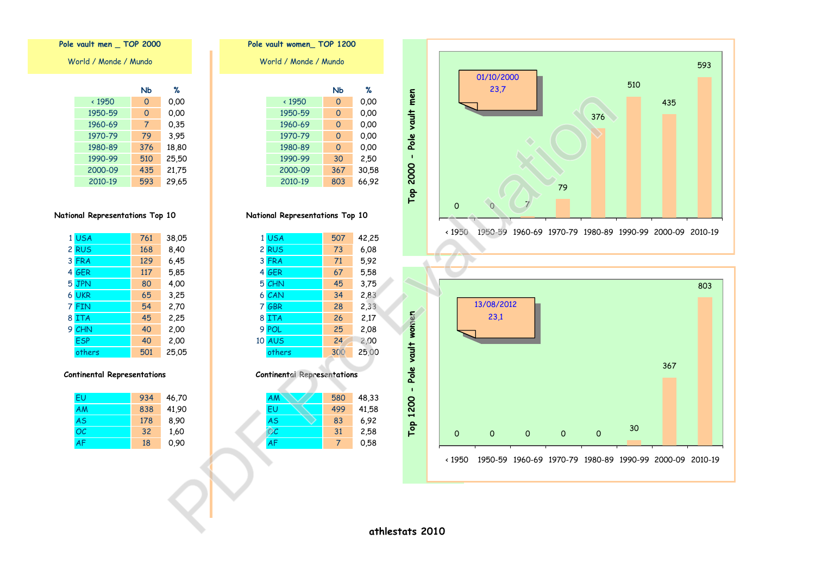



## **Nb % Nb %** < 1950 0 0,00 < 1950 0 0,00 1950-59 0 0,00 1950-59 0 0,00 1960-69 7 0,35 1960-69 0 0,00 1970-79 79 3,95 1970-79 0 0,00 1980-89 376 18,80 1980-89 0 0,00 1990-99 30 2,50 2000-09 435 21,75 2000-09 367 30,58 **Pole vault women\_ TOP 1200** World / Monde / Mundo

**National Representations Top 10**

| 1 USA      | 761 | 38,05 | 1 USA         | 507 | 42,25 |
|------------|-----|-------|---------------|-----|-------|
| 2 RUS      | 168 | 8,40  | 2 RUS         | 73  | 6,08  |
| 3 FRA      | 129 | 6,45  | 3 FRA         | 71  | 5,92  |
| 4 GER      | 117 | 5,85  | 4 GER         | 67  | 5,58  |
| 5 JPN      | 80  | 4,00  | 5 CHN         | 45  | 3,75  |
| 6 UKR      | 65  | 3,25  | 6 CAN         | 34  | 2,83  |
| 7 FIN      | 54  | 2,70  | 7 GBR         | 28  | 2,33  |
| 8 ITA      | 45  | 2,25  | 8 ITA         | 26  | 2,17  |
| 9 CHN      | 40  | 2,00  | 9 POL         | 25  | 2,08  |
| <b>ESP</b> | 40  | 2,00  | <b>10 AUS</b> | 24  | 2,00  |
| others     | 501 | 25,05 | others        | 300 | 25,00 |

**Continental Representations**

| EU | 934 | 46,70 | <b>AM</b> | 580 | 48,33 |
|----|-----|-------|-----------|-----|-------|
| АM | 838 | 41,90 | EU        | 499 | 41,58 |
| AS | 178 | 8,90  | <b>AS</b> | 83  | 6,92  |
| ОC | 32  | 1,60  | OС        | 31  | 2,58  |
| AF | 18  | 0,90  | AF        |     | 0,58  |
|    |     |       |           |     |       |

**Pole vault men \_ TOP 2000**

World / Monde / Mundo

|              | NЬ  | %     |
|--------------|-----|-------|
| $\cdot$ 1950 | 0   | 0.00  |
| 1950-59      | 0   | 0,00  |
| 1960-69      | 7   | 0,35  |
| 1970-79      | 79  | 3.95  |
| 1980-89      | 376 | 18,80 |
| 1990-99      | 510 | 25,50 |
| 2000-09      | 435 | 21,75 |
| 2010-19      | 593 | 29,65 |

## **National Representations Top 10**

|   | 1 USA      | 761 | 38,05 |
|---|------------|-----|-------|
|   | 2 RUS      | 168 | 8,40  |
|   | 3 FRA      | 129 | 6,45  |
|   | 4 GER      | 117 | 5,85  |
|   | 5 JPN      | 80  | 4,00  |
|   | 6 UKR      | 65  | 3,25  |
|   | 7 FIN      | 54  | 2,70  |
| 8 | <b>ITA</b> | 45  | 2,25  |
| 9 | CHN        | 40  | 2,00  |
|   | <b>ESP</b> | 40  | 2,00  |
|   | others     | 501 | 25,05 |

### **Continental Representations**

| FU        | 934 | 46,70 |
|-----------|-----|-------|
| <b>AM</b> | 838 | 41,90 |
| <b>AS</b> | 178 | 8,90  |
| OC        | 32  | 1,60  |
| <b>AF</b> | 18  | 0.90  |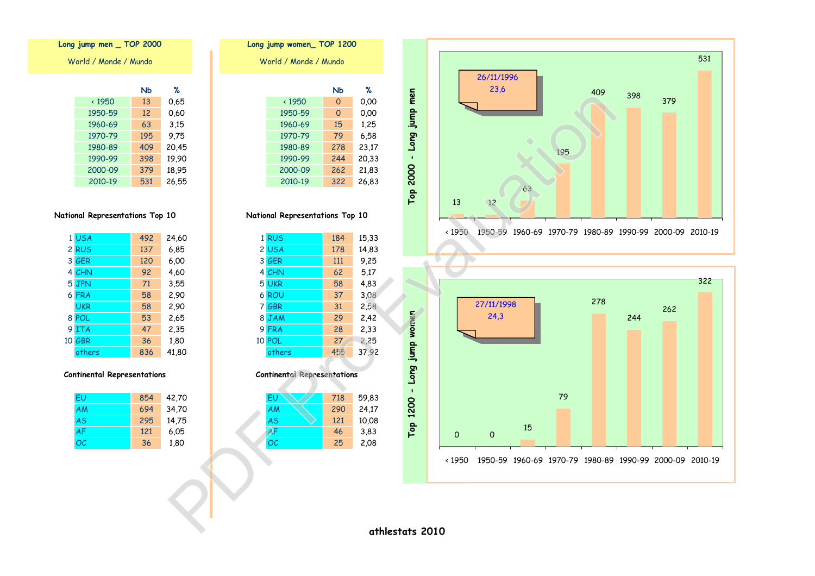| Long jump men<br>Top 2000 | 26/11/1996<br>23,6<br>409<br>398<br>379<br>195<br>63<br>13<br>$\sqrt{12}$ | 531 |
|---------------------------|---------------------------------------------------------------------------|-----|
|                           | 1950-59 1960-69 1970-79 1980-89 1990-99 2000-09 2010-19<br>$\times 1950$  |     |





**National Representations Top 10**

| 1 USA      | 492 | 24,60 | 1 RUS  | 184 | 15,33 |
|------------|-----|-------|--------|-----|-------|
| 2 RUS      | 137 | 6,85  | 2 USA  | 178 | 14,83 |
| 3 GER      | 120 | 6,00  | 3 GER  | 111 | 9,25  |
| 4 CHN      | 92  | 4,60  | 4 CHN  | 62  | 5,17  |
| 5 JPN      | 71  | 3,55  | 5 UKR  | 58  | 4,83  |
| 6 FRA      | 58  | 2,90  | 6 ROU  | 37  | 3,08  |
| <b>UKR</b> | 58  | 2,90  | 7 GBR  | 31  | 2,58  |
| 8 POL      | 53  | 2,65  | 8 JAM  | 29  | 2,42  |
| 9 ITA      | 47  | 2,35  | 9 FRA  | 28  | 2,33  |
| 10 GBR     | 36  | 1,80  | 10 POL | 27  | 2,25  |
| others     | 836 | 41,80 | others | 455 | 37,92 |

#### **Continental Representations**

| EU        | 854 | 42,70 | <b>EU</b> | 718 | 59,83 |
|-----------|-----|-------|-----------|-----|-------|
| AM        | 694 | 34,70 | <b>AM</b> | 290 | 24,17 |
| <b>AS</b> | 295 | 14,75 | <b>AS</b> | 121 | 10,08 |
| AF        | 121 | 6,05  | AF        | 46  | 3,83  |
| ОC        | 36  | 1,80  | OC        | 25  | 2,08  |
|           |     |       |           |     |       |

## **Long jump men \_ TOP 2000**

| ℅     | NЬ  |               |
|-------|-----|---------------|
| 0,65  | 13  | $\times$ 1950 |
| 0.60  | 12  | 1950-59       |
| 3.15  | 63  | 1960-69       |
| 9.75  | 195 | 1970-79       |
| 20,45 | 409 | 1980-89       |
| 19,90 | 398 | 1990-99       |
| 18,95 | 379 | 2000-09       |
| 26,55 | 531 | 2010-19       |

## **National Representations Top 10**

|    | 1 USA      | 492 | 24,60 |
|----|------------|-----|-------|
|    | 2 RUS      | 137 | 6,85  |
|    | 3 GER      | 120 | 6,00  |
|    | 4 CHN      | 92  | 4,60  |
|    | 5 JPN      | 71  | 3,55  |
|    | 6 FRA      | 58  | 2,90  |
|    | <b>UKR</b> | 58  | 2,90  |
|    | 8 POL      | 53  | 2,65  |
| 9. | <b>ITA</b> | 47  | 2,35  |
|    | 10 GBR     | 36  | 1,80  |
|    | others     | 836 | 41,80 |

### **Continental Representations**

| FU        | 854 | 42,70 |
|-----------|-----|-------|
| AM        | 694 | 34,70 |
| <b>AS</b> | 295 | 14,75 |
| <b>AF</b> | 121 | 6.05  |
| OC        | 36  | 1,80  |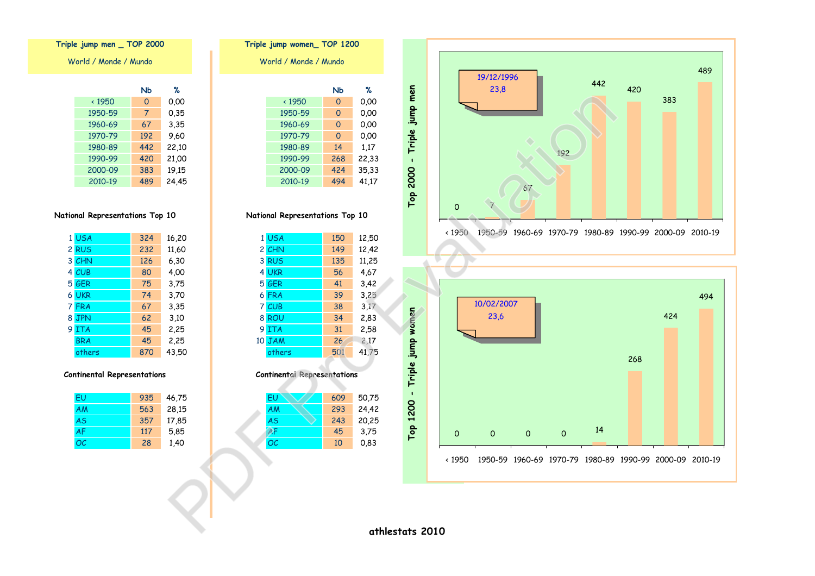



# **Nb % Nb %** < 1950 0 0,00 < 1950 0 0,00 1950-59 7 0,35 1950-59 0 0,00 1960-69 67 3,35 1960-69 0 0,00 1970-79 192 9,60 1970-79 0 0,00 1980-89 442 22,10 1980-89 14 1,17 1990-99 268 22,33 World / Monde / Mundo **Triple jump women\_ TOP 1200**

**National Representations Top 10**

2010-19 494 41,17

| 1 USA      | 324 | 16,20 | 1 USA  | 150 | 12,50 |
|------------|-----|-------|--------|-----|-------|
| 2 RUS      | 232 | 11,60 | 2 CHN  | 149 | 12,42 |
| 3 CHN      | 126 | 6,30  | 3 RUS  | 135 | 11,25 |
| 4 CUB      | 80  | 4,00  | 4 UKR  | 56  | 4,67  |
| 5 GER      | 75  | 3,75  | 5 GER  | 41  | 3,42  |
| 6 UKR      | 74  | 3,70  | 6 FRA  | 39  | 3,25  |
| 7 FRA      | 67  | 3,35  | 7 CUB  | 38  | 3,17  |
| 8 JPN      | 62  | 3,10  | 8 ROU  | 34  | 2,83  |
| 9 ITA      | 45  | 2,25  | 9 ITA  | 31  | 2,58  |
| <b>BRA</b> | 45  | 2,25  | 10 JAM | 26  | 2,17  |
| others     | 870 | 43,50 | others | 501 | 41,75 |

### **Continental Representations**

| EU | 935 | 46,75 | EU        | 609 | 50,75 |
|----|-----|-------|-----------|-----|-------|
| AM | 563 | 28,15 | <b>AM</b> | 293 | 24,42 |
| AS | 357 | 17,85 | <b>AS</b> | 243 | 20,25 |
| AF | 117 | 5,85  | AF        | 45  | 3,75  |
| ОC | 28  | 1,40  | OC        | 10  | 0,83  |
|    |     |       |           |     |       |

## **Triple jump men \_ TOP 2000**

World / Monde / Mundo

|              | NЬ  | %     |
|--------------|-----|-------|
| $\cdot$ 1950 | 0   | 0.00  |
| 1950-59      | 7   | 0,35  |
| 1960-69      | 67  | 3,35  |
| 1970-79      | 192 | 9.60  |
| 1980-89      | 442 | 22,10 |
| 1990-99      | 420 | 21,00 |
| 2000-09      | 383 | 19,15 |
| 2010-19      | 489 | 24.45 |

## **National Representations Top 10**

|   | 1 USA      | 324 | 16,20 |
|---|------------|-----|-------|
|   | 2 RUS      | 232 | 11,60 |
|   | 3 CHN      | 126 | 6,30  |
|   | 4 CUB      | 80  | 4,00  |
|   | 5 GER      | 75  | 3,75  |
|   | 6 UKR      | 74  | 3,70  |
|   | 7 FRA      | 67  | 3,35  |
| 8 | <b>JPN</b> | 62  | 3,10  |
| 9 | <b>ITA</b> | 45  | 2,25  |
|   | <b>BRA</b> | 45  | 2,25  |
|   | others     | 870 | 43,50 |

### **Continental Representations**

| FU        | 935 | 46,75 |
|-----------|-----|-------|
| AM        | 563 | 28,15 |
| <b>AS</b> | 357 | 17,85 |
| <b>AF</b> | 117 | 5,85  |
| OC        | 28  | 1,40  |